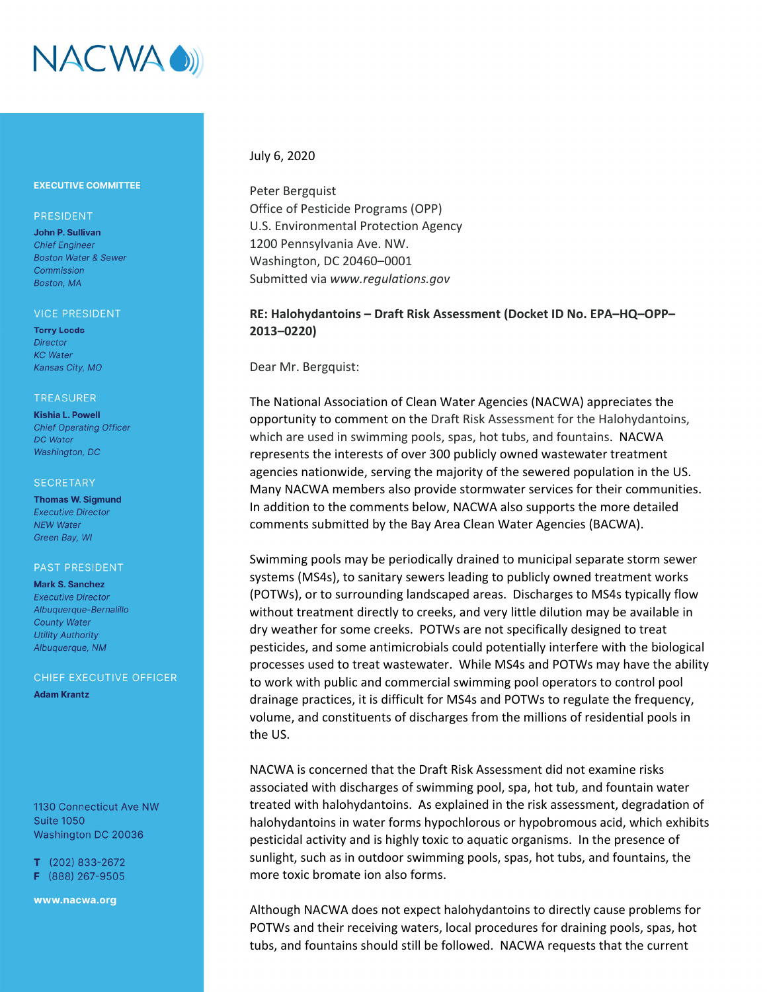

## **EXECUTIVE COMMITTEE**

## PRESIDENT

John P. Sullivan **Chief Engineer Boston Water & Sewer** Commission Boston, MA

#### **VICE PRESIDENT**

**Terry Leeds Director KC** Water Kansas City, MO

#### **TREASURER**

**Kishia L. Powell Chief Operating Officer DC** Water Washington, DC

#### **SECRETARY**

**Thomas W. Sigmund Executive Director NEW Water** Green Bay, WI

### **PAST PRESIDENT**

**Mark S. Sanchez Executive Director** Albuaueraue-Bernalillo **County Water Utility Authority** Albuquerque, NM

CHIEF EXECUTIVE OFFICER

**Adam Krantz** 

1130 Connecticut Ave NW **Suite 1050** Washington DC 20036

 $T$  (202) 833-2672 F (888) 267-9505

www.nacwa.org

## July 6, 2020

Peter Bergquist Office of Pesticide Programs (OPP) U.S. Environmental Protection Agency 1200 Pennsylvania Ave. NW. Washington, DC 20460–0001 Submitted via *www.regulations.gov*

# **RE: Halohydantoins – Draft Risk Assessment (Docket ID No. EPA–HQ–OPP– 2013–0220)**

Dear Mr. Bergquist:

The National Association of Clean Water Agencies (NACWA) appreciates the opportunity to comment on the Draft Risk Assessment for the Halohydantoins, which are used in swimming pools, spas, hot tubs, and fountains. NACWA represents the interests of over 300 publicly owned wastewater treatment agencies nationwide, serving the majority of the sewered population in the US. Many NACWA members also provide stormwater services for their communities. In addition to the comments below, NACWA also supports the more detailed comments submitted by the Bay Area Clean Water Agencies (BACWA).

Swimming pools may be periodically drained to municipal separate storm sewer systems (MS4s), to sanitary sewers leading to publicly owned treatment works (POTWs), or to surrounding landscaped areas. Discharges to MS4s typically flow without treatment directly to creeks, and very little dilution may be available in dry weather for some creeks. POTWs are not specifically designed to treat pesticides, and some antimicrobials could potentially interfere with the biological processes used to treat wastewater. While MS4s and POTWs may have the ability to work with public and commercial swimming pool operators to control pool drainage practices, it is difficult for MS4s and POTWs to regulate the frequency, volume, and constituents of discharges from the millions of residential pools in the US.

NACWA is concerned that the Draft Risk Assessment did not examine risks associated with discharges of swimming pool, spa, hot tub, and fountain water treated with halohydantoins. As explained in the risk assessment, degradation of halohydantoins in water forms hypochlorous or hypobromous acid, which exhibits pesticidal activity and is highly toxic to aquatic organisms. In the presence of sunlight, such as in outdoor swimming pools, spas, hot tubs, and fountains, the more toxic bromate ion also forms.

Although NACWA does not expect halohydantoins to directly cause problems for POTWs and their receiving waters, local procedures for draining pools, spas, hot tubs, and fountains should still be followed. NACWA requests that the current